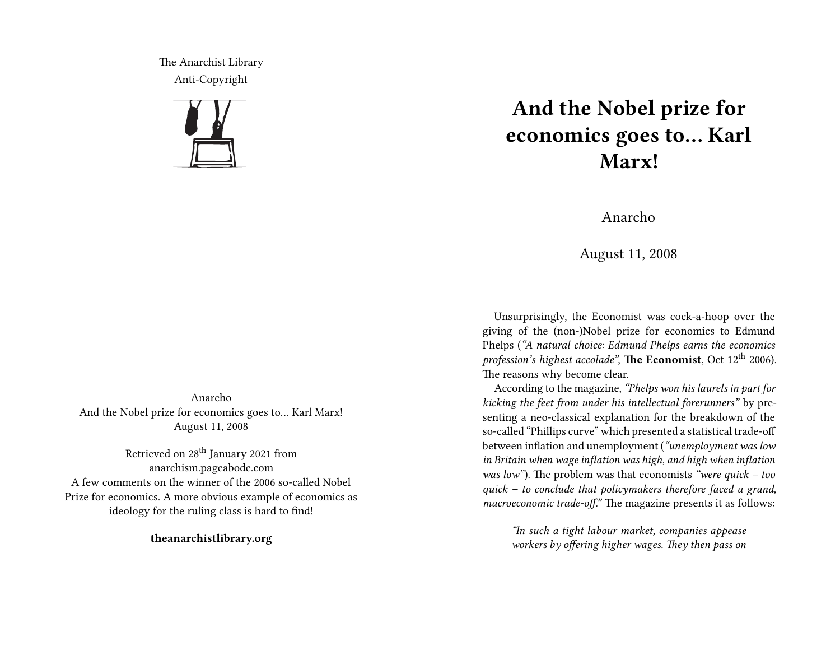The Anarchist Library Anti-Copyright



Anarcho And the Nobel prize for economics goes to… Karl Marx! August 11, 2008

Retrieved on 28<sup>th</sup> January 2021 from anarchism.pageabode.com A few comments on the winner of the 2006 so-called Nobel Prize for economics. A more obvious example of economics as ideology for the ruling class is hard to find!

**theanarchistlibrary.org**

## **And the Nobel prize for economics goes to… Karl Marx!**

Anarcho

August 11, 2008

Unsurprisingly, the Economist was cock-a-hoop over the giving of the (non-)Nobel prize for economics to Edmund Phelps (*"A natural choice: Edmund Phelps earns the economics profession's highest accolade"*, **The Economist**, Oct 12<sup>th</sup> 2006). The reasons why become clear.

According to the magazine, *"Phelps won his laurels in part for kicking the feet from under his intellectual forerunners"* by presenting a neo-classical explanation for the breakdown of the so-called "Phillips curve" which presented a statistical trade-off between inflation and unemployment (*"unemployment was low in Britain when wage inflation was high, and high when inflation was low"*). The problem was that economists *"were quick – too quick – to conclude that policymakers therefore faced a grand, macroeconomic trade-off."* The magazine presents it as follows:

*"In such a tight labour market, companies appease workers by offering higher wages. They then pass on*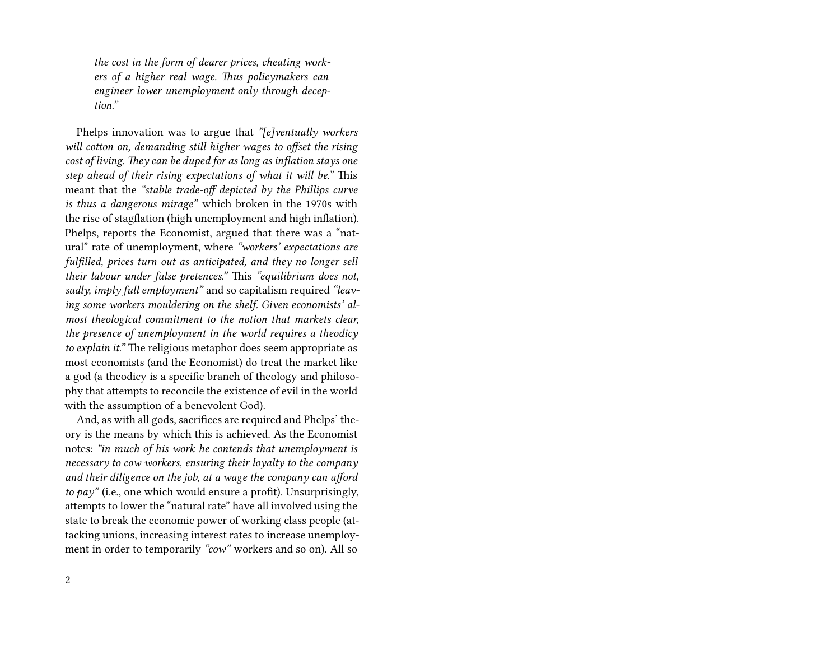*the cost in the form of dearer prices, cheating workers of a higher real wage. Thus policymakers can engineer lower unemployment only through deception."*

Phelps innovation was to argue that *"[e]ventually workers will cotton on, demanding still higher wages to offset the rising cost of living. They can be duped for as long as inflation stays one step ahead of their rising expectations of what it will be."* This meant that the *"stable trade-off depicted by the Phillips curve is thus a dangerous mirage"* which broken in the 1970s with the rise of stagflation (high unemployment and high inflation). Phelps, reports the Economist, argued that there was a "natural" rate of unemployment, where *"workers' expectations are fulfilled, prices turn out as anticipated, and they no longer sell their labour under false pretences."* This *"equilibrium does not, sadly, imply full employment"* and so capitalism required *"leaving some workers mouldering on the shelf. Given economists' almost theological commitment to the notion that markets clear, the presence of unemployment in the world requires a theodicy to explain it."* The religious metaphor does seem appropriate as most economists (and the Economist) do treat the market like a god (a theodicy is a specific branch of theology and philosophy that attempts to reconcile the existence of evil in the world with the assumption of a benevolent God).

And, as with all gods, sacrifices are required and Phelps' theory is the means by which this is achieved. As the Economist notes: *"in much of his work he contends that unemployment is necessary to cow workers, ensuring their loyalty to the company and their diligence on the job, at a wage the company can afford to pay"* (i.e., one which would ensure a profit). Unsurprisingly, attempts to lower the "natural rate" have all involved using the state to break the economic power of working class people (attacking unions, increasing interest rates to increase unemployment in order to temporarily *"cow"* workers and so on). All so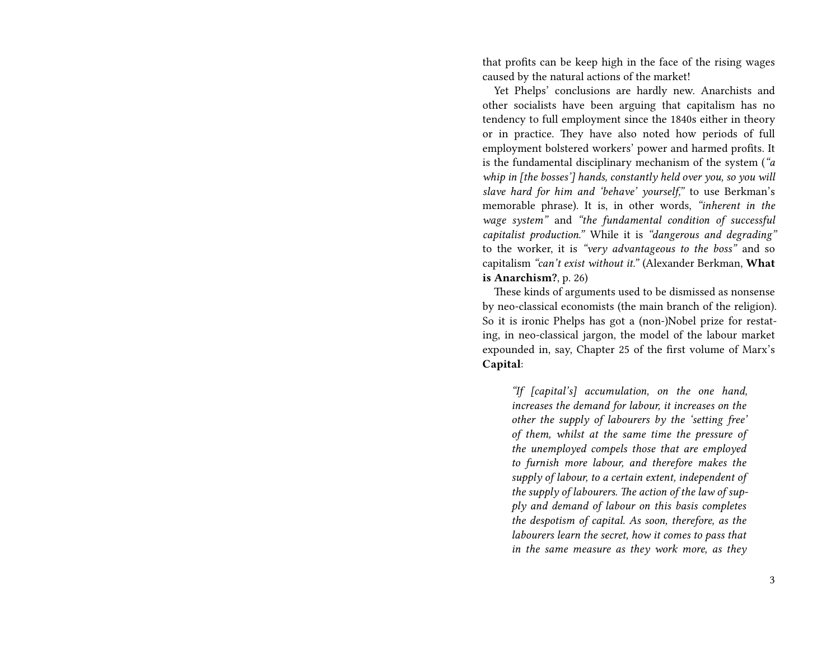that profits can be keep high in the face of the rising wages caused by the natural actions of the market!

Yet Phelps' conclusions are hardly new. Anarchists and other socialists have been arguing that capitalism has no tendency to full employment since the 1840s either in theory or in practice. They have also noted how periods of full employment bolstered workers' power and harmed profits. It is the fundamental disciplinary mechanism of the system (*"a whip in [the bosses'] hands, constantly held over you, so you will slave hard for him and 'behave' yourself,"* to use Berkman's memorable phrase). It is, in other words, *"inherent in the wage system"* and *"the fundamental condition of successful capitalist production."* While it is *"dangerous and degrading"* to the worker, it is *"very advantageous to the boss"* and so capitalism *"can't exist without it."* (Alexander Berkman, **What is Anarchism?**, p. 26)

These kinds of arguments used to be dismissed as nonsense by neo-classical economists (the main branch of the religion). So it is ironic Phelps has got a (non-)Nobel prize for restating, in neo-classical jargon, the model of the labour market expounded in, say, Chapter 25 of the first volume of Marx's **Capital**:

*"If [capital's] accumulation, on the one hand, increases the demand for labour, it increases on the other the supply of labourers by the 'setting free' of them, whilst at the same time the pressure of the unemployed compels those that are employed to furnish more labour, and therefore makes the supply of labour, to a certain extent, independent of the supply of labourers. The action of the law of supply and demand of labour on this basis completes the despotism of capital. As soon, therefore, as the labourers learn the secret, how it comes to pass that in the same measure as they work more, as they*